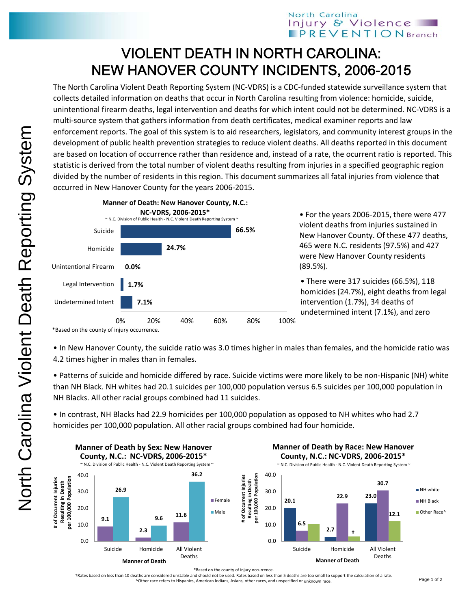## North Carolina Injury & Violence **PREVENTIONBranch**

## VIOLENT DEATH IN NORTH CAROLINA: NEW HANOVER COUNTY INCIDENTS, 2006-2015

The North Carolina Violent Death Reporting System (NC‐VDRS) is a CDC‐funded statewide surveillance system that collects detailed information on deaths that occur in North Carolina resulting from violence: homicide, suicide, unintentional firearm deaths, legal intervention and deaths for which intent could not be determined. NC‐VDRS is a multi-source system that gathers information from death certificates, medical examiner reports and law enforcement reports. The goal of this system is to aid researchers, legislators, and community interest groups in the development of public health prevention strategies to reduce violent deaths. All deaths reported in this document are based on location of occurrence rather than residence and, instead of a rate, the ocurrent ratio is reported. This statistic is derived from the total number of violent deaths resulting from injuries in a specified geographic region divided by the number of residents in this region. This document summarizes all fatal injuries from violence that occurred in New Hanover County for the years 2006‐2015.



• For the years 2006‐2015, there were 477 violent deaths from injuries sustained in New Hanover County. Of these 477 deaths, 465 were N.C. residents (97.5%) and 427 were New Hanover County residents (89.5%).

• There were 317 suicides (66.5%), 118 homicides (24.7%), eight deaths from legal intervention (1.7%), 34 deaths of undetermined intent (7.1%), and zero

• In New Hanover County, the suicide ratio was 3.0 times higher in males than females, and the homicide ratio was 4.2 times higher in males than in females.

• Patterns of suicide and homicide differed by race. Suicide victims were more likely to be non‐Hispanic (NH) white than NH Black. NH whites had 20.1 suicides per 100,000 population versus 6.5 suicides per 100,000 population in NH Blacks. All other racial groups combined had 11 suicides.

• In contrast, NH Blacks had 22.9 homicides per 100,000 population as opposed to NH whites who had 2.7 homicides per 100,000 population. All other racial groups combined had four homicide.



\*Based on the county of injury occurrence.

†Rates based on less than 10 deaths are considered unstable and should not be used. Rates based on less than 5 deaths are too small to support the calculation of a rate. ^Other race refers to Hispanics, American Indians, Asians, other races, and unspecified or unknown race.

<sup>\*</sup>Based on the county of injury occurrence.